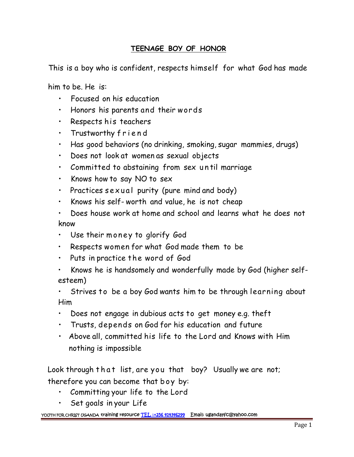## **TEENAGE BOY OF HONOR**

This is a boy who is confident, respects himself for what God has made

him to be. He is:

- Focused on his education
- Honors his parents and their words
- Respects his teachers
- 
- Focused on his education<br>• Honors his parents and their words<br>• Respects his teachers<br>• Trustworthy friend<br>• Has good behaviors (no drinking, smok • Has good behaviors (no drinking, smoking, sugar mammies, drugs) • Kespecis his feachers<br>• Trustworthy friend<br>• Has good behaviors (no drinking, smoking, sugar mammies, dr<br>• Does not look at women as sexual objects<br>• Committed to abstaining from sex un til marriage<br>• Knows how to say NO
- Does not look at women as sexual objects
- Has good behaviors (no drinking, smoking, sugar mar<br>• Does not look at women as sexual objects<br>• Committed to abstaining from sex until marriage<br>• Knows how to say NO to sex<br>• Practices sexual purity (pure mind and body)
- Knows how to say NO to sex
- 
- 
- Does house work at home and school and learns what he does not know • Knows his self-worth and value, he is not cheap<br>• Does house work at home and school and learns v<br>know<br>• Use their money to glorify God
- 
- Respects women for what God made them to be
- Puts in practice the word of God
- Knows he is handsomely and wonderfully made by God (higher self esteem)

Strives to be a boy God wants him to be through learning about Him

- Does not engage in dubious acts to get money e.g. theft
- Trusts, depends on God for his education and future
- Above all, committed his life to the Lord and Knows with Him nothing is impossible I rusts, depends on God for his education and future<br>• Above all, committed his life to the Lord and Knows with Him<br>nothing is impossible<br>Look through that list, are you that boy? Usually we are not;<br>therefore you can beco

therefore you can become that boy? Usual<br>therefore you can become that boy? Usuall<br>therefore you can become that boy by:<br>• Committing your life to the Lord

- 
- Set goals in your Life

## **YOUTH FOR CHRIST UGANDA training resource TEL :+256 414346299 Email: ugandayfc@yahoo.com**